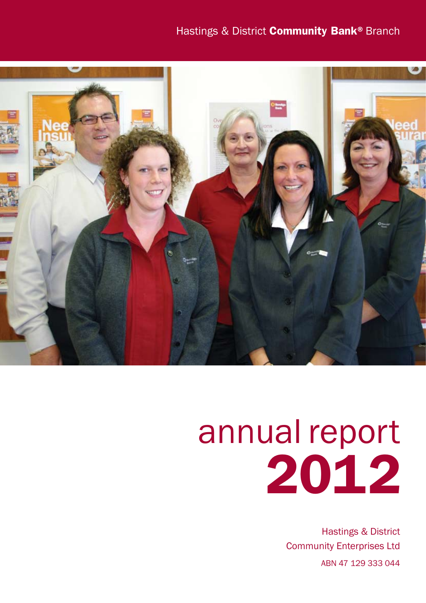## Hastings & District **Community Bank®** Branch



# annual report 2012

Hastings & District Community Enterprises Ltd ABN 47 129 333 044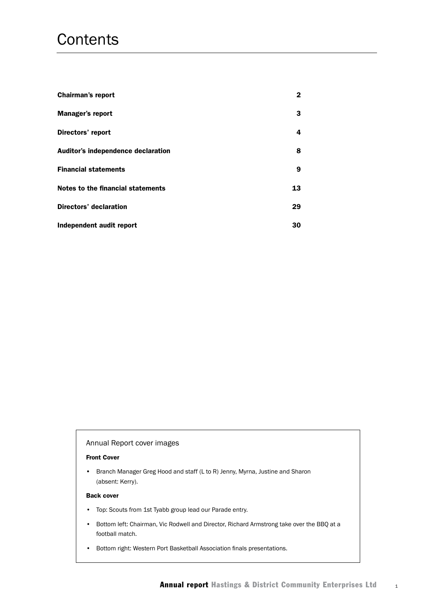## **Contents**

| <b>Chairman's report</b>           | 2  |
|------------------------------------|----|
| Manager's report                   | З  |
| Directors' report                  | 4  |
| Auditor's independence declaration | 8  |
| <b>Financial statements</b>        | 9  |
| Notes to the financial statements  | 13 |
| Directors' declaration             | 29 |
| Independent audit report           | 30 |

#### Annual Report cover images

#### Front Cover

• Branch Manager Greg Hood and staff (L to R) Jenny, Myrna, Justine and Sharon (absent: Kerry).

#### Back cover

- • Top: Scouts from 1st Tyabb group lead our Parade entry.
- • Bottom left: Chairman, Vic Rodwell and Director, Richard Armstrong take over the BBQ at a football match.
- • Bottom right: Western Port Basketball Association finals presentations.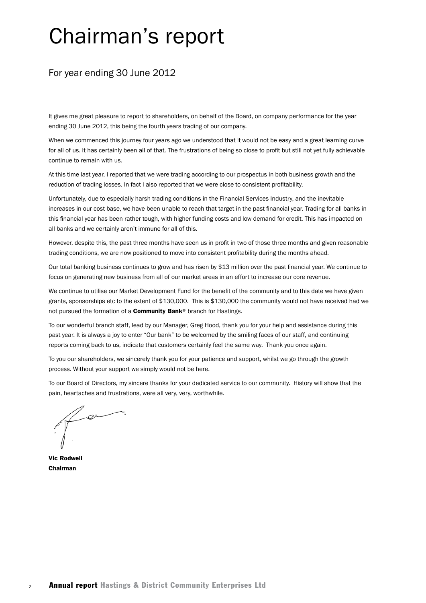## Chairman's report

## For year ending 30 June 2012

It gives me great pleasure to report to shareholders, on behalf of the Board, on company performance for the year ending 30 June 2012, this being the fourth years trading of our company.

When we commenced this journey four years ago we understood that it would not be easy and a great learning curve for all of us. It has certainly been all of that. The frustrations of being so close to profit but still not yet fully achievable continue to remain with us.

At this time last year, I reported that we were trading according to our prospectus in both business growth and the reduction of trading losses. In fact I also reported that we were close to consistent profitability.

Unfortunately, due to especially harsh trading conditions in the Financial Services Industry, and the inevitable increases in our cost base, we have been unable to reach that target in the past financial year. Trading for all banks in this financial year has been rather tough, with higher funding costs and low demand for credit. This has impacted on all banks and we certainly aren't immune for all of this.

However, despite this, the past three months have seen us in profit in two of those three months and given reasonable trading conditions, we are now positioned to move into consistent profitability during the months ahead.

Our total banking business continues to grow and has risen by \$13 million over the past financial year. We continue to focus on generating new business from all of our market areas in an effort to increase our core revenue.

We continue to utilise our Market Development Fund for the benefit of the community and to this date we have given grants, sponsorships etc to the extent of \$130,000. This is \$130,000 the community would not have received had we not pursued the formation of a **Community Bank®** branch for Hastings.

To our wonderful branch staff, lead by our Manager, Greg Hood, thank you for your help and assistance during this past year. It is always a joy to enter "Our bank" to be welcomed by the smiling faces of our staff, and continuing reports coming back to us, indicate that customers certainly feel the same way. Thank you once again.

To you our shareholders, we sincerely thank you for your patience and support, whilst we go through the growth process. Without your support we simply would not be here.

To our Board of Directors, my sincere thanks for your dedicated service to our community. History will show that the pain, heartaches and frustrations, were all very, very, worthwhile.

s

Vic Rodwell Chairman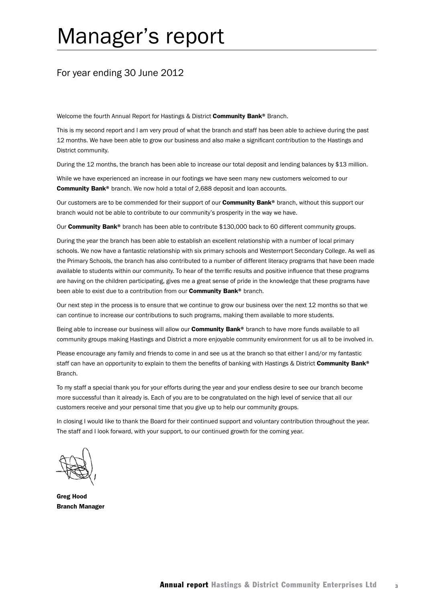## Manager's report

## For year ending 30 June 2012

Welcome the fourth Annual Report for Hastings & District Community Bank® Branch.

This is my second report and I am very proud of what the branch and staff has been able to achieve during the past 12 months. We have been able to grow our business and also make a significant contribution to the Hastings and District community.

During the 12 months, the branch has been able to increase our total deposit and lending balances by \$13 million.

While we have experienced an increase in our footings we have seen many new customers welcomed to our Community Bank<sup>®</sup> branch. We now hold a total of 2,688 deposit and loan accounts.

Our customers are to be commended for their support of our **Community Bank®** branch, without this support our branch would not be able to contribute to our community's prosperity in the way we have.

Our Community Bank<sup>®</sup> branch has been able to contribute \$130,000 back to 60 different community groups.

During the year the branch has been able to establish an excellent relationship with a number of local primary schools. We now have a fantastic relationship with six primary schools and Westernport Secondary College. As well as the Primary Schools, the branch has also contributed to a number of different literacy programs that have been made available to students within our community. To hear of the terrific results and positive influence that these programs are having on the children participating, gives me a great sense of pride in the knowledge that these programs have been able to exist due to a contribution from our **Community Bank®** branch.

Our next step in the process is to ensure that we continue to grow our business over the next 12 months so that we can continue to increase our contributions to such programs, making them available to more students.

Being able to increase our business will allow our **Community Bank®** branch to have more funds available to all community groups making Hastings and District a more enjoyable community environment for us all to be involved in.

Please encourage any family and friends to come in and see us at the branch so that either I and/or my fantastic staff can have an opportunity to explain to them the benefits of banking with Hastings & District Community Bank® Branch.

To my staff a special thank you for your efforts during the year and your endless desire to see our branch become more successful than it already is. Each of you are to be congratulated on the high level of service that all our customers receive and your personal time that you give up to help our community groups.

In closing I would like to thank the Board for their continued support and voluntary contribution throughout the year. The staff and I look forward, with your support, to our continued growth for the coming year.

Greg Hood Branch Manager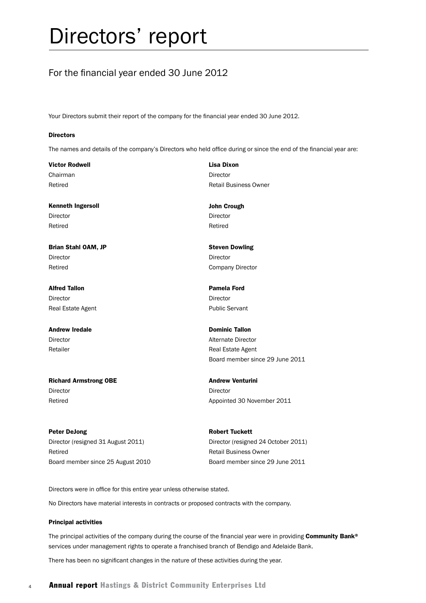## Directors' report

## For the financial year ended 30 June 2012

Your Directors submit their report of the company for the financial year ended 30 June 2012.

#### **Directors**

The names and details of the company's Directors who held office during or since the end of the financial year are:

Victor Rodwell Chairman Retired

Kenneth Ingersoll Director Retired

Brian Stahl OAM, JP Director Retired

Alfred Tallon Director Real Estate Agent

Andrew Iredale Director Retailer

Richard Armstrong OBE Director Retired

Peter DeJong Director (resigned 31 August 2011) Retired Board member since 25 August 2010 Lisa Dixon Director Retail Business Owner

John Crough Director Retired

Steven Dowling Director Company Director

Pamela Ford Director Public Servant

#### Dominic Tallon Alternate Director Real Estate Agent Board member since 29 June 2011

Andrew Venturini Director Appointed 30 November 2011

Robert Tuckett Director (resigned 24 October 2011) Retail Business Owner Board member since 29 June 2011

Directors were in office for this entire year unless otherwise stated.

No Directors have material interests in contracts or proposed contracts with the company.

#### Principal activities

The principal activities of the company during the course of the financial year were in providing **Community Bank®** services under management rights to operate a franchised branch of Bendigo and Adelaide Bank.

There has been no significant changes in the nature of these activities during the year.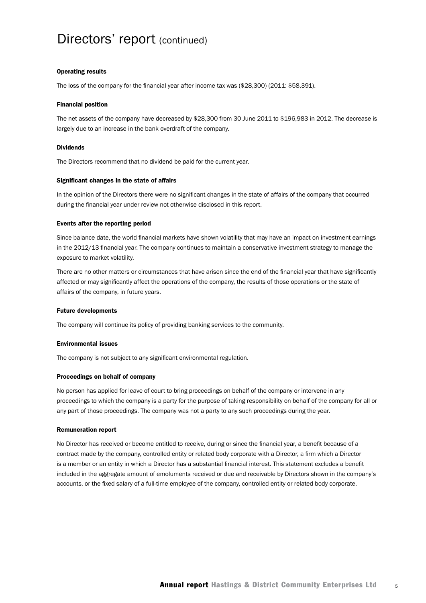#### Operating results

The loss of the company for the financial year after income tax was (\$28,300) (2011: \$58,391).

#### Financial position

The net assets of the company have decreased by \$28,300 from 30 June 2011 to \$196,983 in 2012. The decrease is largely due to an increase in the bank overdraft of the company.

#### Dividends

The Directors recommend that no dividend be paid for the current year.

#### Significant changes in the state of affairs

In the opinion of the Directors there were no significant changes in the state of affairs of the company that occurred during the financial year under review not otherwise disclosed in this report.

#### Events after the reporting period

Since balance date, the world financial markets have shown volatility that may have an impact on investment earnings in the 2012/13 financial year. The company continues to maintain a conservative investment strategy to manage the exposure to market volatility.

There are no other matters or circumstances that have arisen since the end of the financial year that have significantly affected or may significantly affect the operations of the company, the results of those operations or the state of affairs of the company, in future years.

#### Future developments

The company will continue its policy of providing banking services to the community.

#### Environmental issues

The company is not subject to any significant environmental regulation.

#### Proceedings on behalf of company

No person has applied for leave of court to bring proceedings on behalf of the company or intervene in any proceedings to which the company is a party for the purpose of taking responsibility on behalf of the company for all or any part of those proceedings. The company was not a party to any such proceedings during the year.

#### Remuneration report

No Director has received or become entitled to receive, during or since the financial year, a benefit because of a contract made by the company, controlled entity or related body corporate with a Director, a firm which a Director is a member or an entity in which a Director has a substantial financial interest. This statement excludes a benefit included in the aggregate amount of emoluments received or due and receivable by Directors shown in the company's accounts, or the fixed salary of a full-time employee of the company, controlled entity or related body corporate.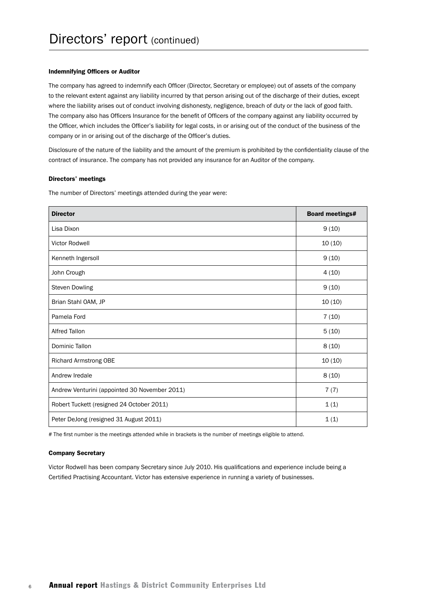#### Indemnifying Officers or Auditor

The company has agreed to indemnify each Officer (Director, Secretary or employee) out of assets of the company to the relevant extent against any liability incurred by that person arising out of the discharge of their duties, except where the liability arises out of conduct involving dishonesty, negligence, breach of duty or the lack of good faith. The company also has Officers Insurance for the benefit of Officers of the company against any liability occurred by the Officer, which includes the Officer's liability for legal costs, in or arising out of the conduct of the business of the company or in or arising out of the discharge of the Officer's duties.

Disclosure of the nature of the liability and the amount of the premium is prohibited by the confidentiality clause of the contract of insurance. The company has not provided any insurance for an Auditor of the company.

#### Directors' meetings

The number of Directors' meetings attended during the year were:

| <b>Director</b>                               | <b>Board meetings#</b> |
|-----------------------------------------------|------------------------|
| Lisa Dixon                                    | 9(10)                  |
| <b>Victor Rodwell</b>                         | 10(10)                 |
| Kenneth Ingersoll                             | 9(10)                  |
| John Crough                                   | 4(10)                  |
| <b>Steven Dowling</b>                         | 9(10)                  |
| Brian Stahl OAM, JP                           | 10(10)                 |
| Pamela Ford                                   | 7(10)                  |
| <b>Alfred Tallon</b>                          | 5(10)                  |
| Dominic Tallon                                | 8(10)                  |
| <b>Richard Armstrong OBE</b>                  | 10(10)                 |
| Andrew Iredale                                | 8(10)                  |
| Andrew Venturini (appointed 30 November 2011) | 7(7)                   |
| Robert Tuckett (resigned 24 October 2011)     | 1(1)                   |
| Peter DeJong (resigned 31 August 2011)        | 1(1)                   |

# The first number is the meetings attended while in brackets is the number of meetings eligible to attend.

#### Company Secretary

Victor Rodwell has been company Secretary since July 2010. His qualifications and experience include being a Certified Practising Accountant. Victor has extensive experience in running a variety of businesses.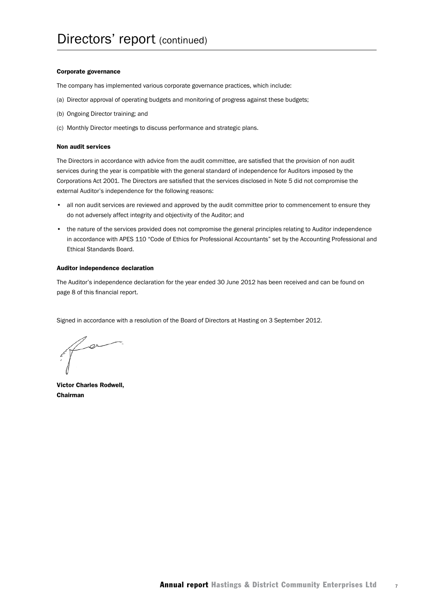#### Corporate governance

The company has implemented various corporate governance practices, which include:

- (a) Director approval of operating budgets and monitoring of progress against these budgets;
- (b) Ongoing Director training; and
- (c) Monthly Director meetings to discuss performance and strategic plans.

#### Non audit services

The Directors in accordance with advice from the audit committee, are satisfied that the provision of non audit services during the year is compatible with the general standard of independence for Auditors imposed by the Corporations Act 2001. The Directors are satisfied that the services disclosed in Note 5 did not compromise the external Auditor's independence for the following reasons:

- all non audit services are reviewed and approved by the audit committee prior to commencement to ensure they do not adversely affect integrity and objectivity of the Auditor; and
- • the nature of the services provided does not compromise the general principles relating to Auditor independence in accordance with APES 110 "Code of Ethics for Professional Accountants" set by the Accounting Professional and Ethical Standards Board.

#### Auditor independence declaration

The Auditor's independence declaration for the year ended 30 June 2012 has been received and can be found on page 8 of this financial report.

Signed in accordance with a resolution of the Board of Directors at Hasting on 3 September 2012.

 $\sim$ 

Victor Charles Rodwell, Chairman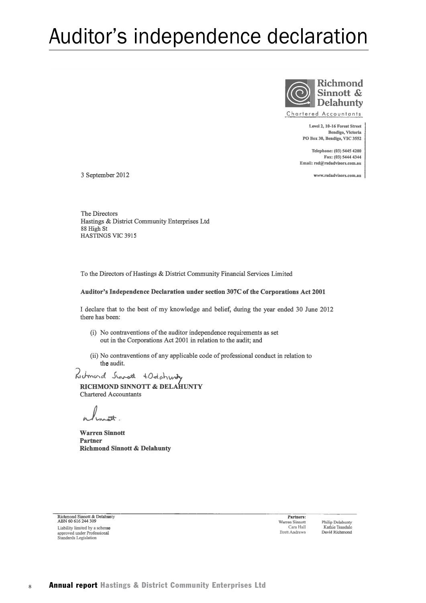## Auditor's independence declaration



**Chartered Accountants** 

Level 2, 10-16 Forest Street Bendigo, Victoria PO Box 30, Bendigo, VIC 3552

Telephone: (03) 5445 4200 Fax: (03) 5444 4344 Email: rsd@rsdadvisors.com.au

www.rsdadvisors.com.au

3 September 2012

The Directors Hastings & District Community Enterprises Ltd 88 High St HASTINGS VIC 3915

To the Directors of Hastings & District Community Financial Services Limited

#### Auditor's Independence Declaration under section 307C of the Corporations Act 2001

I declare that to the best of my knowledge and belief, during the year ended 30 June 2012 there has been:

- (i) No contraventions of the auditor independence requirements as set out in the Corporations Act 2001 in relation to the audit; and
- (ii) No contraventions of any applicable code of professional conduct in relation to the audit.

Richmond Surat 40 dehung **Chartered Accountants** 

atte.

**Warren Sinnott** Partner **Richmond Sinnott & Delahunty** 

Richmond Sinnott & Delahunty<br>ABN 60 616 244 309 Liability limited by a scheme<br>approved under Professional Standards Legislation

Partners: **Farmers:**<br>Warren Sinnott<br>Cara Hall Philip Delahunty Kathie Teasdalc **Brett Andrews** David Richmond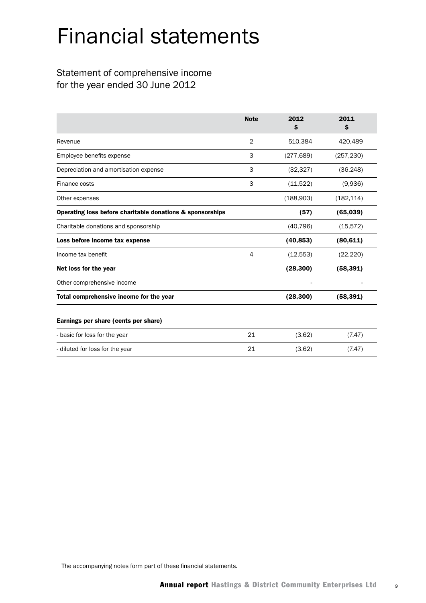## Statement of comprehensive income for the year ended 30 June 2012

|                                                           | <b>Note</b>    | 2012<br>Ŝ  | 2011<br>\$ |
|-----------------------------------------------------------|----------------|------------|------------|
| Revenue                                                   | $\overline{2}$ | 510,384    | 420,489    |
| Employee benefits expense                                 | 3              | (277, 689) | (257, 230) |
| Depreciation and amortisation expense                     | 3              | (32, 327)  | (36, 248)  |
| Finance costs                                             | 3              | (11,522)   | (9,936)    |
| Other expenses                                            |                | (188,903)  | (182, 114) |
| Operating loss before charitable donations & sponsorships |                | (57)       | (65,039)   |
| Charitable donations and sponsorship                      |                | (40, 796)  | (15, 572)  |
| Loss before income tax expense                            |                | (40, 853)  | (80, 611)  |
| Income tax benefit                                        | 4              | (12, 553)  | (22, 220)  |
| Net loss for the year                                     |                | (28, 300)  | (58, 391)  |
| Other comprehensive income                                |                |            |            |
| Total comprehensive income for the year                   |                | (28, 300)  | (58, 391)  |
| Earnings per share (cents per share)                      |                |            |            |
| - basic for loss for the year                             | 21             | (3.62)     | (7.47)     |
| - diluted for loss for the year                           | 21             | (3.62)     | (7.47)     |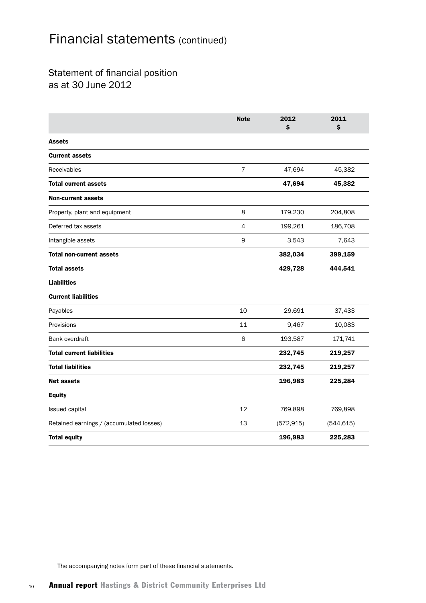## Statement of financial position as at 30 June 2012

|                                          | <b>Note</b>    | 2012<br>Ś  | 2011<br>S  |
|------------------------------------------|----------------|------------|------------|
| <b>Assets</b>                            |                |            |            |
| <b>Current assets</b>                    |                |            |            |
| Receivables                              | $\overline{7}$ | 47,694     | 45,382     |
| <b>Total current assets</b>              |                | 47,694     | 45,382     |
| <b>Non-current assets</b>                |                |            |            |
| Property, plant and equipment            | 8              | 179,230    | 204,808    |
| Deferred tax assets                      | 4              | 199,261    | 186,708    |
| Intangible assets                        | 9              | 3,543      | 7,643      |
| <b>Total non-current assets</b>          |                | 382,034    | 399,159    |
| <b>Total assets</b>                      |                | 429,728    | 444,541    |
| <b>Liabilities</b>                       |                |            |            |
| <b>Current liabilities</b>               |                |            |            |
| Payables                                 | 10             | 29,691     | 37,433     |
| Provisions                               | 11             | 9,467      | 10,083     |
| Bank overdraft                           | 6              | 193,587    | 171,741    |
| <b>Total current liabilities</b>         |                | 232,745    | 219,257    |
| <b>Total liabilities</b>                 |                | 232,745    | 219,257    |
| <b>Net assets</b>                        |                | 196,983    | 225,284    |
| <b>Equity</b>                            |                |            |            |
| Issued capital                           | 12             | 769,898    | 769,898    |
| Retained earnings / (accumulated losses) | 13             | (572, 915) | (544, 615) |
| <b>Total equity</b>                      |                | 196,983    | 225,283    |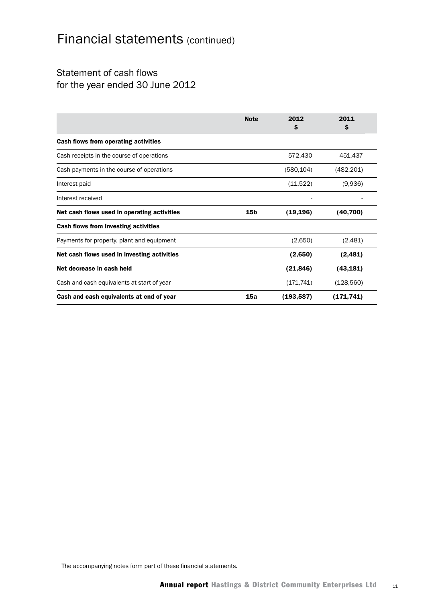## Statement of cash flows for the year ended 30 June 2012

|                                             | <b>Note</b> | 2012<br>s  | 2011<br>\$ |
|---------------------------------------------|-------------|------------|------------|
| Cash flows from operating activities        |             |            |            |
| Cash receipts in the course of operations   |             | 572,430    | 451,437    |
| Cash payments in the course of operations   |             | (580, 104) | (482, 201) |
| Interest paid                               |             | (11,522)   | (9,936)    |
| Interest received                           |             |            |            |
| Net cash flows used in operating activities | 15b         | (19, 196)  | (40, 700)  |
| Cash flows from investing activities        |             |            |            |
| Payments for property, plant and equipment  |             | (2,650)    | (2,481)    |
| Net cash flows used in investing activities |             | (2,650)    | (2,481)    |
| Net decrease in cash held                   |             | (21, 846)  | (43, 181)  |
| Cash and cash equivalents at start of year  |             | (171, 741) | (128,560)  |
| Cash and cash equivalents at end of year    | 15a         | (193, 587) | (171, 741) |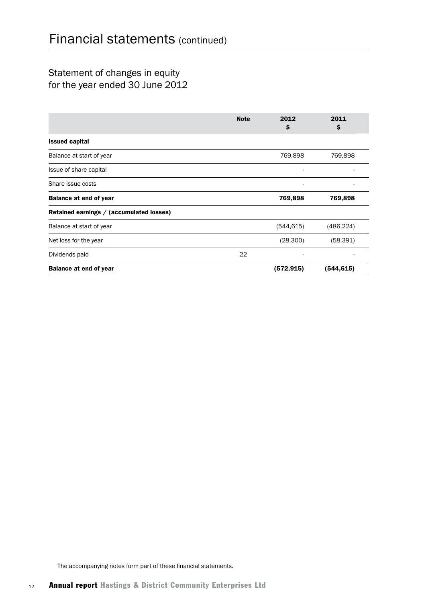## Statement of changes in equity for the year ended 30 June 2012

|                                          | <b>Note</b> | 2012<br>\$ | 2011<br>\$ |
|------------------------------------------|-------------|------------|------------|
| <b>Issued capital</b>                    |             |            |            |
| Balance at start of year                 |             | 769,898    | 769,898    |
| Issue of share capital                   |             |            |            |
| Share issue costs                        |             |            |            |
| <b>Balance at end of year</b>            |             | 769,898    | 769,898    |
| Retained earnings / (accumulated losses) |             |            |            |
| Balance at start of year                 |             | (544, 615) | (486, 224) |
| Net loss for the year                    |             | (28, 300)  | (58, 391)  |
| Dividends paid                           | 22          |            |            |
| <b>Balance at end of year</b>            |             | (572, 915) | (544, 615) |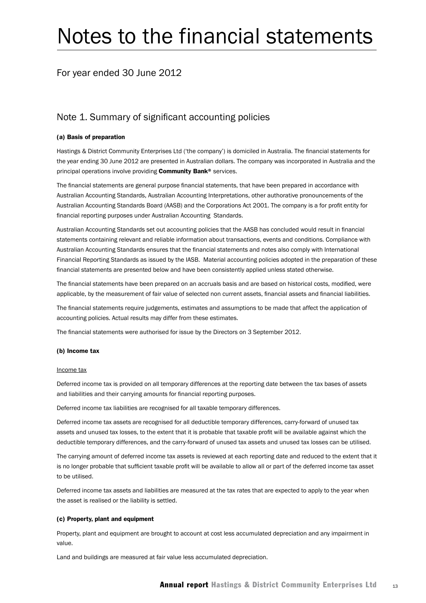## Notes to the financial statements

## For year ended 30 June 2012

### Note 1. Summary of significant accounting policies

#### (a) Basis of preparation

Hastings & District Community Enterprises Ltd ('the company') is domiciled in Australia. The financial statements for the year ending 30 June 2012 are presented in Australian dollars. The company was incorporated in Australia and the principal operations involve providing **Community Bank®** services.

The financial statements are general purpose financial statements, that have been prepared in accordance with Australian Accounting Standards, Australian Accounting Interpretations, other authorative pronouncements of the Australian Accounting Standards Board (AASB) and the Corporations Act 2001. The company is a for profit entity for financial reporting purposes under Australian Accounting Standards.

Australian Accounting Standards set out accounting policies that the AASB has concluded would result in financial statements containing relevant and reliable information about transactions, events and conditions. Compliance with Australian Accounting Standards ensures that the financial statements and notes also comply with International Financial Reporting Standards as issued by the IASB. Material accounting policies adopted in the preparation of these financial statements are presented below and have been consistently applied unless stated otherwise.

The financial statements have been prepared on an accruals basis and are based on historical costs, modified, were applicable, by the measurement of fair value of selected non current assets, financial assets and financial liabilities.

The financial statements require judgements, estimates and assumptions to be made that affect the application of accounting policies. Actual results may differ from these estimates.

The financial statements were authorised for issue by the Directors on 3 September 2012.

#### (b) Income tax

#### Income tax

Deferred income tax is provided on all temporary differences at the reporting date between the tax bases of assets and liabilities and their carrying amounts for financial reporting purposes.

Deferred income tax liabilities are recognised for all taxable temporary differences.

Deferred income tax assets are recognised for all deductible temporary differences, carry-forward of unused tax assets and unused tax losses, to the extent that it is probable that taxable profit will be available against which the deductible temporary differences, and the carry-forward of unused tax assets and unused tax losses can be utilised.

The carrying amount of deferred income tax assets is reviewed at each reporting date and reduced to the extent that it is no longer probable that sufficient taxable profit will be available to allow all or part of the deferred income tax asset to be utilised.

Deferred income tax assets and liabilities are measured at the tax rates that are expected to apply to the year when the asset is realised or the liability is settled.

#### (c) Property, plant and equipment

Property, plant and equipment are brought to account at cost less accumulated depreciation and any impairment in value.

Land and buildings are measured at fair value less accumulated depreciation.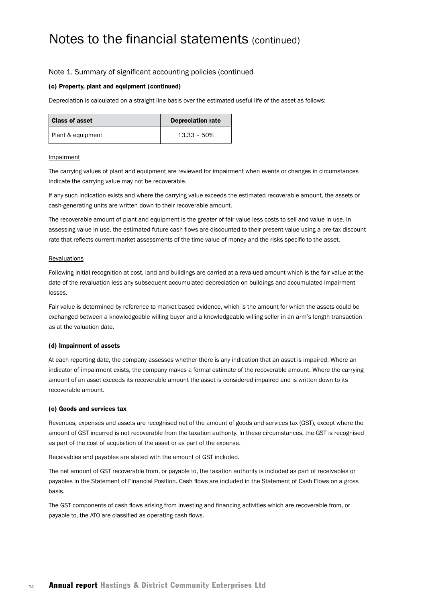#### (c) Property, plant and equipment (continued)

Depreciation is calculated on a straight line basis over the estimated useful life of the asset as follows:

| <b>Class of asset</b> | <b>Depreciation rate</b> |
|-----------------------|--------------------------|
| Plant & equipment     | $13.33 - 50%$            |

#### **Impairment**

The carrying values of plant and equipment are reviewed for impairment when events or changes in circumstances indicate the carrying value may not be recoverable.

If any such indication exists and where the carrying value exceeds the estimated recoverable amount, the assets or cash-generating units are written down to their recoverable amount.

The recoverable amount of plant and equipment is the greater of fair value less costs to sell and value in use. In assessing value in use, the estimated future cash flows are discounted to their present value using a pre-tax discount rate that reflects current market assessments of the time value of money and the risks specific to the asset.

#### **Revaluations**

Following initial recognition at cost, land and buildings are carried at a revalued amount which is the fair value at the date of the revaluation less any subsequent accumulated depreciation on buildings and accumulated impairment losses.

Fair value is determined by reference to market based evidence, which is the amount for which the assets could be exchanged between a knowledgeable willing buyer and a knowledgeable willing seller in an arm's length transaction as at the valuation date.

#### (d) Impairment of assets

At each reporting date, the company assesses whether there is any indication that an asset is impaired. Where an indicator of impairment exists, the company makes a formal estimate of the recoverable amount. Where the carrying amount of an asset exceeds its recoverable amount the asset is considered impaired and is written down to its recoverable amount.

#### (e) Goods and services tax

Revenues, expenses and assets are recognised net of the amount of goods and services tax (GST), except where the amount of GST incurred is not recoverable from the taxation authority. In these circumstances, the GST is recognised as part of the cost of acquisition of the asset or as part of the expense.

Receivables and payables are stated with the amount of GST included.

The net amount of GST recoverable from, or payable to, the taxation authority is included as part of receivables or payables in the Statement of Financial Position. Cash flows are included in the Statement of Cash Flows on a gross basis.

The GST components of cash flows arising from investing and financing activities which are recoverable from, or payable to, the ATO are classified as operating cash flows.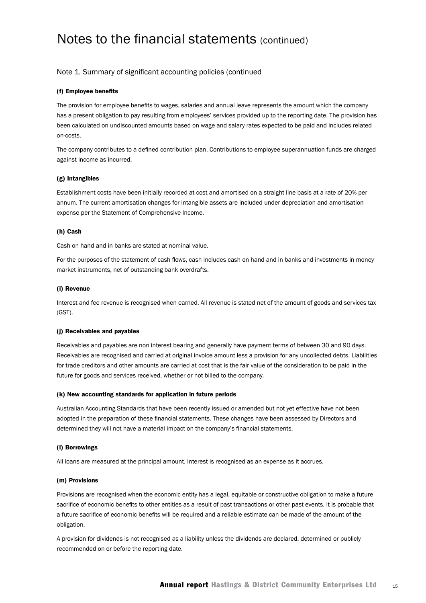#### (f) Employee benefits

The provision for employee benefits to wages, salaries and annual leave represents the amount which the company has a present obligation to pay resulting from employees' services provided up to the reporting date. The provision has been calculated on undiscounted amounts based on wage and salary rates expected to be paid and includes related on-costs.

The company contributes to a defined contribution plan. Contributions to employee superannuation funds are charged against income as incurred.

#### (g) Intangibles

Establishment costs have been initially recorded at cost and amortised on a straight line basis at a rate of 20% per annum. The current amortisation changes for intangible assets are included under depreciation and amortisation expense per the Statement of Comprehensive Income.

#### (h) Cash

Cash on hand and in banks are stated at nominal value.

For the purposes of the statement of cash flows, cash includes cash on hand and in banks and investments in money market instruments, net of outstanding bank overdrafts.

#### (i) Revenue

Interest and fee revenue is recognised when earned. All revenue is stated net of the amount of goods and services tax (GST).

#### (j) Receivables and payables

Receivables and payables are non interest bearing and generally have payment terms of between 30 and 90 days. Receivables are recognised and carried at original invoice amount less a provision for any uncollected debts. Liabilities for trade creditors and other amounts are carried at cost that is the fair value of the consideration to be paid in the future for goods and services received, whether or not billed to the company.

#### (k) New accounting standards for application in future periods

Australian Accounting Standards that have been recently issued or amended but not yet effective have not been adopted in the preparation of these financial statements. These changes have been assessed by Directors and determined they will not have a material impact on the company's financial statements.

#### (l) Borrowings

All loans are measured at the principal amount. Interest is recognised as an expense as it accrues.

#### (m) Provisions

Provisions are recognised when the economic entity has a legal, equitable or constructive obligation to make a future sacrifice of economic benefits to other entities as a result of past transactions or other past events, it is probable that a future sacrifice of economic benefits will be required and a reliable estimate can be made of the amount of the obligation.

A provision for dividends is not recognised as a liability unless the dividends are declared, determined or publicly recommended on or before the reporting date.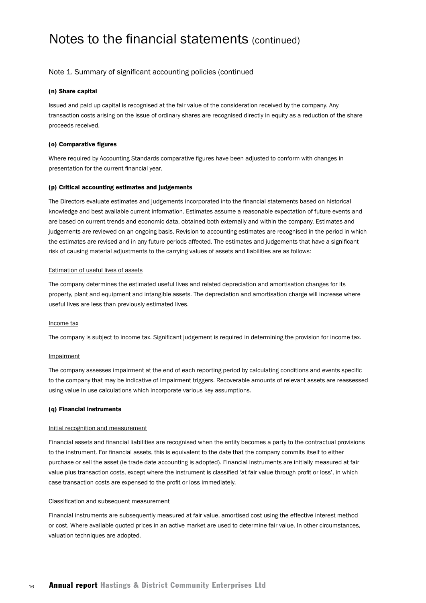#### (n) Share capital

Issued and paid up capital is recognised at the fair value of the consideration received by the company. Any transaction costs arising on the issue of ordinary shares are recognised directly in equity as a reduction of the share proceeds received.

#### (o) Comparative figures

Where required by Accounting Standards comparative figures have been adjusted to conform with changes in presentation for the current financial year.

#### (p) Critical accounting estimates and judgements

The Directors evaluate estimates and judgements incorporated into the financial statements based on historical knowledge and best available current information. Estimates assume a reasonable expectation of future events and are based on current trends and economic data, obtained both externally and within the company. Estimates and judgements are reviewed on an ongoing basis. Revision to accounting estimates are recognised in the period in which the estimates are revised and in any future periods affected. The estimates and judgements that have a significant risk of causing material adjustments to the carrying values of assets and liabilities are as follows:

#### Estimation of useful lives of assets

The company determines the estimated useful lives and related depreciation and amortisation changes for its property, plant and equipment and intangible assets. The depreciation and amortisation charge will increase where useful lives are less than previously estimated lives.

#### Income tax

The company is subject to income tax. Significant judgement is required in determining the provision for income tax.

#### Impairment

The company assesses impairment at the end of each reporting period by calculating conditions and events specific to the company that may be indicative of impairment triggers. Recoverable amounts of relevant assets are reassessed using value in use calculations which incorporate various key assumptions.

#### (q) Financial instruments

#### Initial recognition and measurement

Financial assets and financial liabilities are recognised when the entity becomes a party to the contractual provisions to the instrument. For financial assets, this is equivalent to the date that the company commits itself to either purchase or sell the asset (ie trade date accounting is adopted). Financial instruments are initially measured at fair value plus transaction costs, except where the instrument is classified 'at fair value through profit or loss', in which case transaction costs are expensed to the profit or loss immediately.

#### Classification and subsequent measurement

Financial instruments are subsequently measured at fair value, amortised cost using the effective interest method or cost. Where available quoted prices in an active market are used to determine fair value. In other circumstances, valuation techniques are adopted.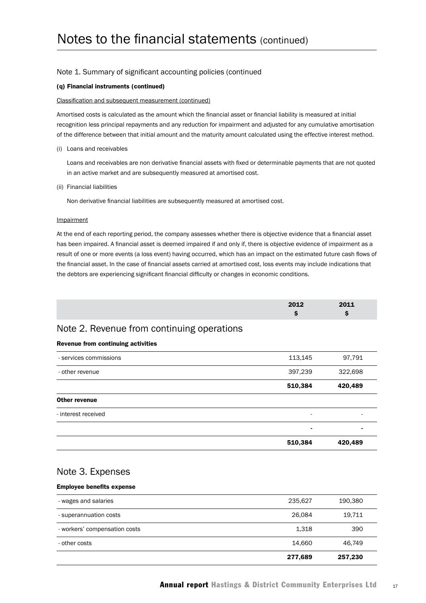#### (q) Financial instruments (continued)

#### Classification and subsequent measurement (continued)

Amortised costs is calculated as the amount which the financial asset or financial liability is measured at initial recognition less principal repayments and any reduction for impairment and adjusted for any cumulative amortisation of the difference between that initial amount and the maturity amount calculated using the effective interest method.

(i) Loans and receivables

 Loans and receivables are non derivative financial assets with fixed or determinable payments that are not quoted in an active market and are subsequently measured at amortised cost.

(ii) Financial liabilities

 Non derivative financial liabilities are subsequently measured at amortised cost.

#### **Impairment**

At the end of each reporting period, the company assesses whether there is objective evidence that a financial asset has been impaired. A financial asset is deemed impaired if and only if, there is objective evidence of impairment as a result of one or more events (a loss event) having occurred, which has an impact on the estimated future cash flows of the financial asset. In the case of financial assets carried at amortised cost, loss events may include indications that the debtors are experiencing significant financial difficulty or changes in economic conditions.

| 2012 | 2011 |  |
|------|------|--|
|      |      |  |

### Note 2. Revenue from continuing operations

#### Revenue from continuing activities

| - interest received    | ٠       |         |
|------------------------|---------|---------|
| Other revenue          |         |         |
|                        | 510,384 | 420,489 |
| - other revenue        | 397,239 | 322,698 |
| - services commissions | 113,145 | 97,791  |

#### Note 3. Expenses

#### Employee benefits expense

|                               | 277,689 | 257,230 |
|-------------------------------|---------|---------|
| - other costs                 | 14,660  | 46,749  |
| - workers' compensation costs | 1,318   | 390     |
| - superannuation costs        | 26.084  | 19.711  |
| - wages and salaries          | 235,627 | 190,380 |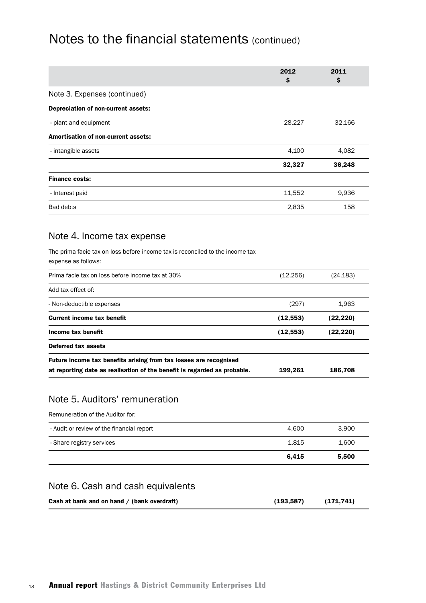|                                                                                                                                               | 2012<br>\$ | 2011<br>S  |
|-----------------------------------------------------------------------------------------------------------------------------------------------|------------|------------|
| Note 3. Expenses (continued)                                                                                                                  |            |            |
| Depreciation of non-current assets:                                                                                                           |            |            |
| - plant and equipment                                                                                                                         | 28,227     | 32,166     |
| <b>Amortisation of non-current assets:</b>                                                                                                    |            |            |
| - intangible assets                                                                                                                           | 4,100      | 4,082      |
|                                                                                                                                               | 32,327     | 36,248     |
| <b>Finance costs:</b>                                                                                                                         |            |            |
| - Interest paid                                                                                                                               | 11,552     | 9,936      |
| <b>Bad debts</b>                                                                                                                              | 2,835      | 158        |
| Note 4. Income tax expense<br>The prima facie tax on loss before income tax is reconciled to the income tax                                   |            |            |
| expense as follows:                                                                                                                           |            |            |
| Prima facie tax on loss before income tax at 30%                                                                                              | (12, 256)  | (24, 183)  |
| Add tax effect of:                                                                                                                            |            |            |
| - Non-deductible expenses                                                                                                                     | (297)      | 1,963      |
| <b>Current income tax benefit</b>                                                                                                             | (12, 553)  | (22, 220)  |
| Income tax benefit                                                                                                                            | (12, 553)  | (22, 220)  |
| <b>Deferred tax assets</b>                                                                                                                    |            |            |
| Future income tax benefits arising from tax losses are recognised<br>at reporting date as realisation of the benefit is regarded as probable. | 199,261    | 186,708    |
| Note 5. Auditors' remuneration                                                                                                                |            |            |
| Remuneration of the Auditor for:                                                                                                              |            |            |
| - Audit or review of the financial report                                                                                                     | 4,600      | 3,900      |
| - Share registry services                                                                                                                     | 1,815      | 1,600      |
|                                                                                                                                               | 6,415      | 5,500      |
| Note 6. Cash and cash equivalents                                                                                                             |            |            |
| Cash at bank and on hand / (bank overdraft)                                                                                                   | (193, 587) | (171, 741) |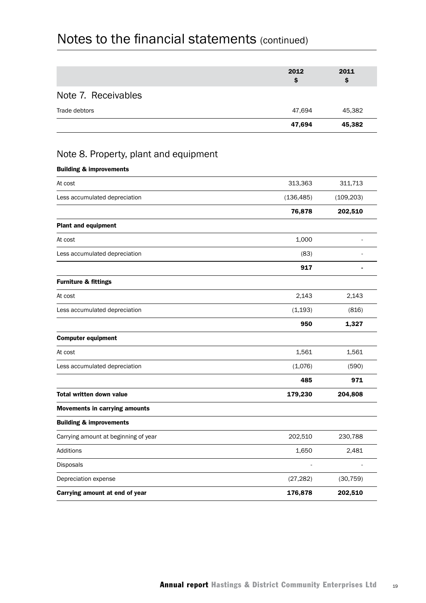|                     | 2012<br>\$ | 2011<br>\$ |
|---------------------|------------|------------|
| Note 7. Receivables |            |            |
| Trade debtors       | 47,694     | 45,382     |
|                     | 47,694     | 45,382     |

## Note 8. Property, plant and equipment

| <b>Building &amp; improvements</b>   |            |            |
|--------------------------------------|------------|------------|
| At cost                              | 313,363    | 311,713    |
| Less accumulated depreciation        | (136, 485) | (109, 203) |
|                                      | 76,878     | 202,510    |
| <b>Plant and equipment</b>           |            |            |
| At cost                              | 1,000      |            |
| Less accumulated depreciation        | (83)       |            |
|                                      | 917        |            |
| <b>Furniture &amp; fittings</b>      |            |            |
| At cost                              | 2,143      | 2,143      |
| Less accumulated depreciation        | (1, 193)   | (816)      |
|                                      | 950        | 1,327      |
| <b>Computer equipment</b>            |            |            |
| At cost                              | 1,561      | 1,561      |
| Less accumulated depreciation        | (1,076)    | (590)      |
|                                      | 485        | 971        |
| <b>Total written down value</b>      | 179,230    | 204,808    |
| <b>Movements in carrying amounts</b> |            |            |
| <b>Building &amp; improvements</b>   |            |            |
| Carrying amount at beginning of year | 202,510    | 230,788    |
| Additions                            | 1,650      | 2,481      |
| Disposals                            |            |            |
| Depreciation expense                 | (27, 282)  | (30, 759)  |
| Carrying amount at end of year       | 176,878    | 202,510    |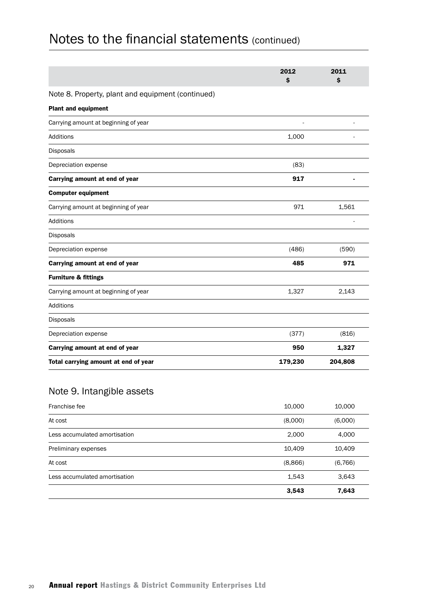|                                                   | 2012<br>\$ | 2011<br>\$ |
|---------------------------------------------------|------------|------------|
| Note 8. Property, plant and equipment (continued) |            |            |
| <b>Plant and equipment</b>                        |            |            |
| Carrying amount at beginning of year              |            |            |
| <b>Additions</b>                                  | 1,000      |            |
| Disposals                                         |            |            |
| Depreciation expense                              | (83)       |            |
| Carrying amount at end of year                    | 917        |            |
| <b>Computer equipment</b>                         |            |            |
| Carrying amount at beginning of year              | 971        | 1,561      |
| <b>Additions</b>                                  |            |            |
| Disposals                                         |            |            |
| Depreciation expense                              | (486)      | (590)      |
| Carrying amount at end of year                    | 485        | 971        |
| <b>Furniture &amp; fittings</b>                   |            |            |
| Carrying amount at beginning of year              | 1,327      | 2,143      |
| Additions                                         |            |            |
| Disposals                                         |            |            |
| Depreciation expense                              | (377)      | (816)      |
| Carrying amount at end of year                    | 950        | 1,327      |
| Total carrying amount at end of year              | 179,230    | 204,808    |

## Note 9. Intangible assets

|                               | 3,543   | 7,643    |
|-------------------------------|---------|----------|
| Less accumulated amortisation | 1,543   | 3,643    |
| At cost                       | (8,866) | (6, 766) |
| Preliminary expenses          | 10,409  | 10,409   |
| Less accumulated amortisation | 2,000   | 4,000    |
| At cost                       | (8,000) | (6,000)  |
| Franchise fee                 | 10,000  | 10,000   |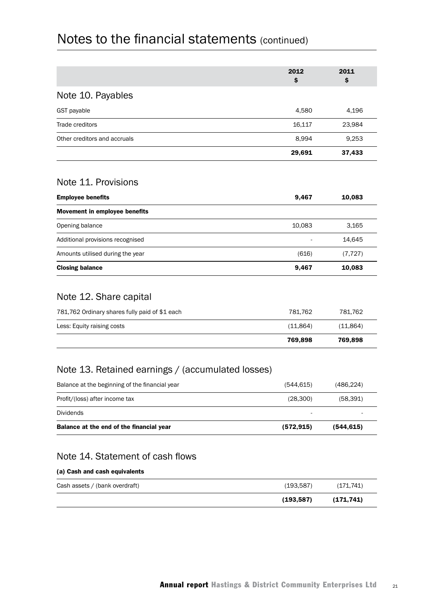|                              | 2012<br>\$ | 2011<br>\$ |
|------------------------------|------------|------------|
| Note 10. Payables            |            |            |
| GST payable                  | 4,580      | 4,196      |
| Trade creditors              | 16,117     | 23,984     |
| Other creditors and accruals | 8,994      | 9,253      |
|                              | 29,691     | 37,433     |

### Note 11. Provisions

| <b>Employee benefits</b>         | 9,467  | 10,083   |
|----------------------------------|--------|----------|
| Movement in employee benefits    |        |          |
| Opening balance                  | 10,083 | 3,165    |
| Additional provisions recognised | -      | 14,645   |
| Amounts utilised during the year | (616)  | (7, 727) |
| <b>Closing balance</b>           | 9,467  | 10,083   |

## Note 12. Share capital

|                                                | 769.898  | 769.898  |
|------------------------------------------------|----------|----------|
| Less: Equity raising costs                     | (11.864) | (11,864) |
| 781,762 Ordinary shares fully paid of \$1 each | 781.762  | 781.762  |

## Note 13. Retained earnings / (accumulated losses)

| Balance at the end of the financial year       | (572.915)                | (544.615) |
|------------------------------------------------|--------------------------|-----------|
| Dividends                                      | $\overline{\phantom{a}}$ |           |
| Profit/(loss) after income tax                 | (28, 300)                | (58, 391) |
| Balance at the beginning of the financial year | (544.615)                | (486.224) |

## Note 14. Statement of cash flows

#### (a) Cash and cash equivalents

|                                | (193.587) | (171,741) |  |
|--------------------------------|-----------|-----------|--|
| Cash assets / (bank overdraft) | (193,587) | (171,741) |  |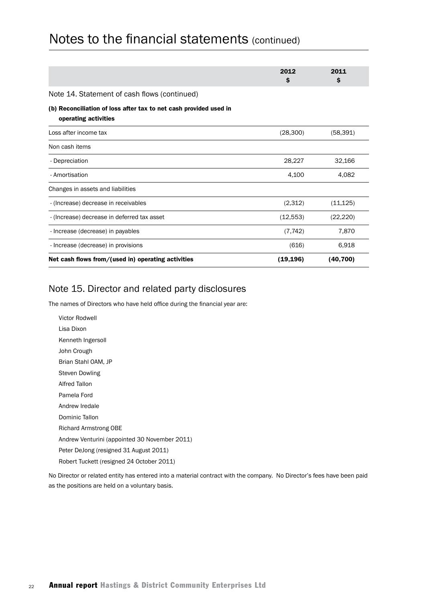|                                                                                           | 2012      | 2011      |
|-------------------------------------------------------------------------------------------|-----------|-----------|
|                                                                                           | S         | S         |
| Note 14. Statement of cash flows (continued)                                              |           |           |
| (b) Reconciliation of loss after tax to net cash provided used in<br>operating activities |           |           |
| Loss after income tax                                                                     | (28, 300) | (58, 391) |
| Non cash items                                                                            |           |           |
| - Depreciation                                                                            | 28,227    | 32,166    |
| - Amortisation                                                                            | 4,100     | 4,082     |
| Changes in assets and liabilities                                                         |           |           |
| - (Increase) decrease in receivables                                                      | (2,312)   | (11, 125) |
| - (Increase) decrease in deferred tax asset                                               | (12, 553) | (22, 220) |
| - Increase (decrease) in payables                                                         | (7, 742)  | 7,870     |
| - Increase (decrease) in provisions                                                       | (616)     | 6,918     |
| Net cash flows from/(used in) operating activities                                        | (19, 196) | (40, 700) |

### Note 15. Director and related party disclosures

The names of Directors who have held office during the financial year are:

Victor Rodwell Lisa Dixon Kenneth Ingersoll John Crough Brian Stahl OAM, JP Steven Dowling Alfred Tallon Pamela Ford Andrew Iredale Dominic Tallon Richard Armstrong OBE Andrew Venturini (appointed 30 November 2011) Peter DeJong (resigned 31 August 2011) Robert Tuckett (resigned 24 October 2011) 

No Director or related entity has entered into a material contract with the company. No Director's fees have been paid as the positions are held on a voluntary basis.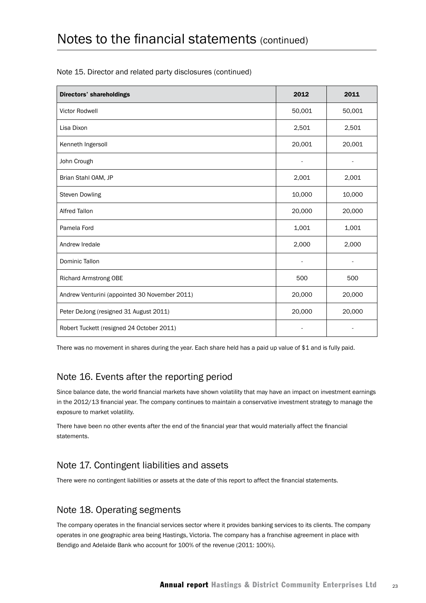| <b>Directors' shareholdings</b>               | 2012   | 2011                     |
|-----------------------------------------------|--------|--------------------------|
| <b>Victor Rodwell</b>                         | 50,001 | 50,001                   |
| Lisa Dixon                                    | 2,501  | 2,501                    |
| Kenneth Ingersoll                             | 20,001 | 20,001                   |
| John Crough                                   | ÷,     | $\overline{\phantom{a}}$ |
| Brian Stahl OAM, JP                           | 2,001  | 2,001                    |
| <b>Steven Dowling</b>                         | 10,000 | 10,000                   |
| <b>Alfred Tallon</b>                          | 20,000 | 20,000                   |
| Pamela Ford                                   | 1,001  | 1,001                    |
| Andrew Iredale                                | 2,000  | 2,000                    |
| Dominic Tallon                                | ÷,     | $\overline{\phantom{a}}$ |
| <b>Richard Armstrong OBE</b>                  | 500    | 500                      |
| Andrew Venturini (appointed 30 November 2011) | 20,000 | 20,000                   |
| Peter DeJong (resigned 31 August 2011)        | 20,000 | 20,000                   |
| Robert Tuckett (resigned 24 October 2011)     |        |                          |

#### Note 15. Director and related party disclosures (continued)

There was no movement in shares during the year. Each share held has a paid up value of \$1 and is fully paid.

## Note 16. Events after the reporting period

Since balance date, the world financial markets have shown volatility that may have an impact on investment earnings in the 2012/13 financial year. The company continues to maintain a conservative investment strategy to manage the exposure to market volatility.

There have been no other events after the end of the financial year that would materially affect the financial statements.

## Note 17. Contingent liabilities and assets

There were no contingent liabilities or assets at the date of this report to affect the financial statements.

## Note 18. Operating segments

The company operates in the financial services sector where it provides banking services to its clients. The company operates in one geographic area being Hastings, Victoria. The company has a franchise agreement in place with Bendigo and Adelaide Bank who account for 100% of the revenue (2011: 100%).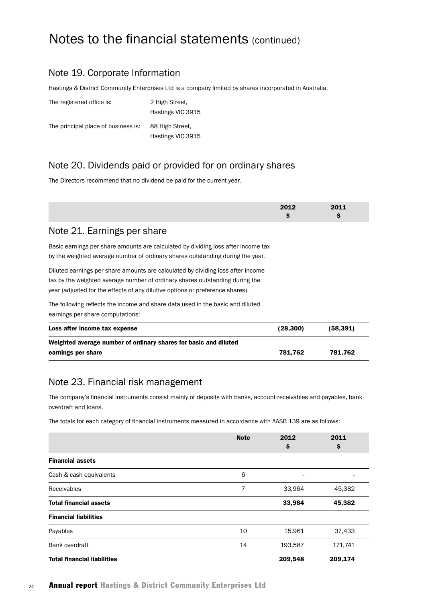### Note 19. Corporate Information

Hastings & District Community Enterprises Ltd is a company limited by shares incorporated in Australia. 

| The registered office is:           | 2 High Street.    |
|-------------------------------------|-------------------|
|                                     | Hastings VIC 3915 |
| The principal place of business is: | 88 High Street.   |
|                                     | Hastings VIC 3915 |

### Note 20. Dividends paid or provided for on ordinary shares

The Directors recommend that no dividend be paid for the current year.

| 2012 | 2011 |
|------|------|
|      |      |
|      |      |

#### Note 21. Earnings per share

Basic earnings per share amounts are calculated by dividing loss after income tax by the weighted average number of ordinary shares outstanding during the year.

Diluted earnings per share amounts are calculated by dividing loss after income tax by the weighted average number of ordinary shares outstanding during the year (adjusted for the effects of any dilutive options or preference shares).

The following reflects the income and share data used in the basic and diluted earnings per share computations:

| Loss after income tax expense                                    | (28.300) | (58.391) |
|------------------------------------------------------------------|----------|----------|
| Weighted average number of ordinary shares for basic and diluted |          |          |
| earnings per share                                               | 781.762  | 781.762  |

## Note 23. Financial risk management

The company's financial instruments consist mainly of deposits with banks, account receivables and payables, bank overdraft and loans.

The totals for each category of financial instruments measured in accordance with AASB 139 are as follows:

|                                    | <b>Note</b> | 2012<br>\$ | 2011<br>\$ |
|------------------------------------|-------------|------------|------------|
| <b>Financial assets</b>            |             |            |            |
| Cash & cash equivalents            | 6           | ٠          |            |
| Receivables                        | 7           | 33,964     | 45,382     |
| <b>Total financial assets</b>      |             | 33,964     | 45,382     |
| <b>Financial liabilities</b>       |             |            |            |
| Payables                           | 10          | 15,961     | 37,433     |
| Bank overdraft                     | 14          | 193,587    | 171,741    |
| <b>Total financial liabilities</b> |             | 209,548    | 209,174    |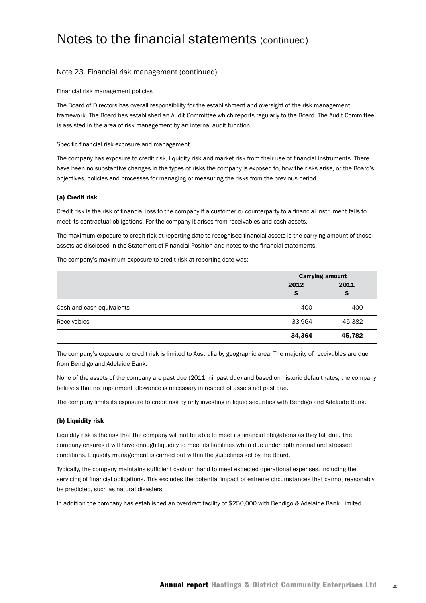#### Financial risk management policies

The Board of Directors has overall responsibility for the establishment and oversight of the risk management framework. The Board has established an Audit Committee which reports regularly to the Board. The Audit Committee is assisted in the area of risk management by an internal audit function.

#### Specific financial risk exposure and management

The company has exposure to credit risk, liquidity risk and market risk from their use of financial instruments. There have been no substantive changes in the types of risks the company is exposed to, how the risks arise, or the Board's objectives, policies and processes for managing or measuring the risks from the previous period.

#### (a) Credit risk

Credit risk is the risk of financial loss to the company if a customer or counterparty to a financial instrument fails to meet its contractual obligations. For the company it arises from receivables and cash assets.

The maximum exposure to credit risk at reporting date to recognised financial assets is the carrying amount of those assets as disclosed in the Statement of Financial Position and notes to the financial statements.

The company's maximum exposure to credit risk at reporting date was:

|                           |            | <b>Carrying amount</b> |  |
|---------------------------|------------|------------------------|--|
|                           | 2012<br>\$ | 2011<br>\$             |  |
| Cash and cash equivalents | 400        | 400                    |  |
| <b>Receivables</b>        | 33,964     | 45,382                 |  |
|                           | 34,364     | 45,782                 |  |

The company's exposure to credit risk is limited to Australia by geographic area. The majority of receivables are due from Bendigo and Adelaide Bank.

None of the assets of the company are past due (2011: nil past due) and based on historic default rates, the company believes that no impairment allowance is necessary in respect of assets not past due.

The company limits its exposure to credit risk by only investing in liquid securities with Bendigo and Adelaide Bank.

#### (b) Liquidity risk

Liquidity risk is the risk that the company will not be able to meet its financial obligations as they fall due. The company ensures it will have enough liquidity to meet its liabilities when due under both normal and stressed conditions. Liquidity management is carried out within the guidelines set by the Board.

Typically, the company maintains sufficient cash on hand to meet expected operational expenses, including the servicing of financial obligations. This excludes the potential impact of extreme circumstances that cannot reasonably be predicted, such as natural disasters.

In addition the company has established an overdraft facility of \$250,000 with Bendigo & Adelaide Bank Limited.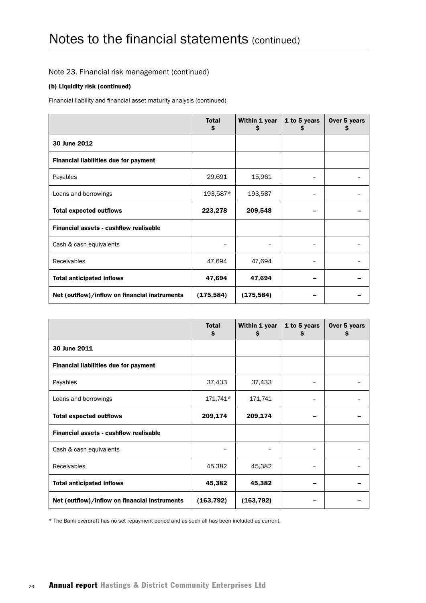#### (b) Liquidity risk (continued)

Financial liability and financial asset maturity analysis (continued)

|                                               | <b>Total</b><br>\$ | Within 1 year<br>S | 1 to 5 years<br>S | Over 5 years<br>s |
|-----------------------------------------------|--------------------|--------------------|-------------------|-------------------|
| 30 June 2012                                  |                    |                    |                   |                   |
| <b>Financial liabilities due for payment</b>  |                    |                    |                   |                   |
| Payables                                      | 29,691             | 15,961             |                   |                   |
| Loans and borrowings                          | 193,587*           | 193,587            |                   |                   |
| <b>Total expected outflows</b>                | 223,278            | 209,548            |                   |                   |
| <b>Financial assets - cashflow realisable</b> |                    |                    |                   |                   |
| Cash & cash equivalents                       |                    |                    |                   |                   |
| <b>Receivables</b>                            | 47,694             | 47,694             |                   |                   |
| <b>Total anticipated inflows</b>              | 47,694             | 47,694             |                   |                   |
| Net (outflow)/inflow on financial instruments | (175, 584)         | (175, 584)         |                   |                   |

|                                               | <b>Total</b><br>\$ | Within 1 year<br>S | 1 to 5 years<br>s | Over 5 years<br>\$ |
|-----------------------------------------------|--------------------|--------------------|-------------------|--------------------|
| 30 June 2011                                  |                    |                    |                   |                    |
| <b>Financial liabilities due for payment</b>  |                    |                    |                   |                    |
| Payables                                      | 37,433             | 37,433             |                   |                    |
| Loans and borrowings                          | 171,741*           | 171,741            |                   |                    |
| <b>Total expected outflows</b>                | 209,174            | 209,174            |                   |                    |
| <b>Financial assets - cashflow realisable</b> |                    |                    |                   |                    |
| Cash & cash equivalents                       |                    |                    |                   |                    |
| <b>Receivables</b>                            | 45,382             | 45,382             |                   |                    |
| <b>Total anticipated inflows</b>              | 45,382             | 45,382             |                   |                    |
| Net (outflow)/inflow on financial instruments | (163, 792)         | (163, 792)         |                   |                    |

\* The Bank overdraft has no set repayment period and as such all has been included as current.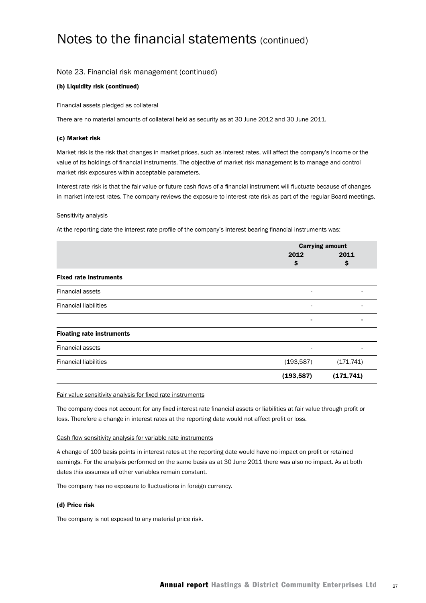#### (b) Liquidity risk (continued)

#### Financial assets pledged as collateral

There are no material amounts of collateral held as security as at 30 June 2012 and 30 June 2011.

#### (c) Market risk

Market risk is the risk that changes in market prices, such as interest rates, will affect the company's income or the value of its holdings of financial instruments. The objective of market risk management is to manage and control market risk exposures within acceptable parameters.

Interest rate risk is that the fair value or future cash flows of a financial instrument will fluctuate because of changes in market interest rates. The company reviews the exposure to interest rate risk as part of the regular Board meetings.

#### Sensitivity analysis

At the reporting date the interest rate profile of the company's interest bearing financial instruments was:

|                                  | 2012       | <b>Carrying amount</b><br>2011 |
|----------------------------------|------------|--------------------------------|
|                                  | \$         | \$                             |
| <b>Fixed rate instruments</b>    |            |                                |
| <b>Financial assets</b>          |            |                                |
| <b>Financial liabilities</b>     | -          |                                |
|                                  | ٠          |                                |
| <b>Floating rate instruments</b> |            |                                |
| <b>Financial assets</b>          |            |                                |
| <b>Financial liabilities</b>     | (193, 587) | (171, 741)                     |
|                                  | (193, 587) | (171, 741)                     |

#### Fair value sensitivity analysis for fixed rate instruments

The company does not account for any fixed interest rate financial assets or liabilities at fair value through profit or loss. Therefore a change in interest rates at the reporting date would not affect profit or loss.

#### Cash flow sensitivity analysis for variable rate instruments

A change of 100 basis points in interest rates at the reporting date would have no impact on profit or retained earnings. For the analysis performed on the same basis as at 30 June 2011 there was also no impact. As at both dates this assumes all other variables remain constant.

The company has no exposure to fluctuations in foreign currency.

#### (d) Price risk

The company is not exposed to any material price risk.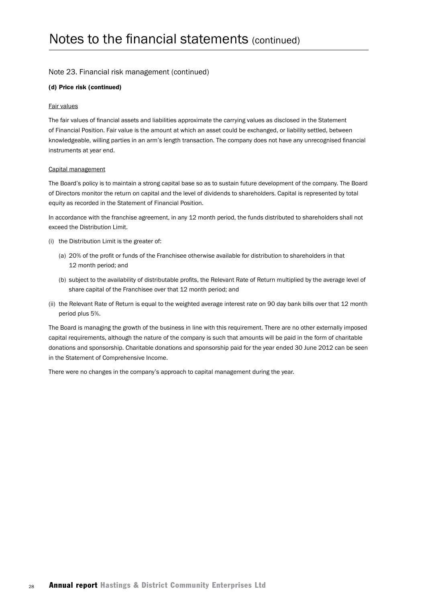#### (d) Price risk (continued)

#### Fair values

The fair values of financial assets and liabilities approximate the carrying values as disclosed in the Statement of Financial Position. Fair value is the amount at which an asset could be exchanged, or liability settled, between knowledgeable, willing parties in an arm's length transaction. The company does not have any unrecognised financial instruments at year end.

#### Capital management

The Board's policy is to maintain a strong capital base so as to sustain future development of the company. The Board of Directors monitor the return on capital and the level of dividends to shareholders. Capital is represented by total equity as recorded in the Statement of Financial Position.

In accordance with the franchise agreement, in any 12 month period, the funds distributed to shareholders shall not exceed the Distribution Limit.

- (i) the Distribution Limit is the greater of:
	- (a) 20% of the profit or funds of the Franchisee otherwise available for distribution to shareholders in that 12 month period; and
	- (b) subject to the availability of distributable profits, the Relevant Rate of Return multiplied by the average level of share capital of the Franchisee over that 12 month period; and
- (ii) the Relevant Rate of Return is equal to the weighted average interest rate on 90 day bank bills over that 12 month period plus 5%.

The Board is managing the growth of the business in line with this requirement. There are no other externally imposed capital requirements, although the nature of the company is such that amounts will be paid in the form of charitable donations and sponsorship. Charitable donations and sponsorship paid for the year ended 30 June 2012 can be seen in the Statement of Comprehensive Income.

There were no changes in the company's approach to capital management during the year.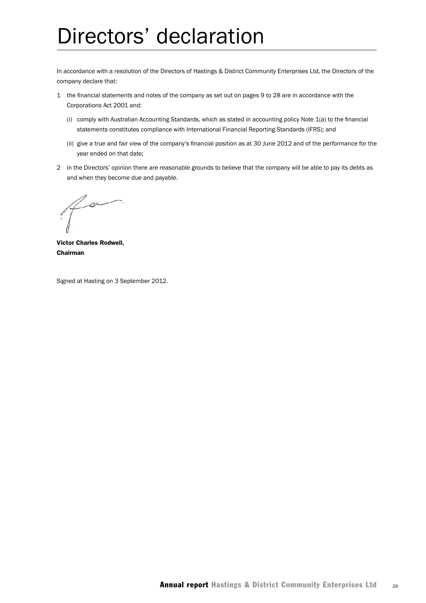## Directors' declaration

In accordance with a resolution of the Directors of Hastings & District Community Enterprises Ltd, the Directors of the company declare that:

- 1 the financial statements and notes of the company as set out on pages 9 to 28 are in accordance with the Corporations Act 2001 and:
	- (i) comply with Australian Accounting Standards, which as stated in accounting policy Note  $1(a)$  to the financial statements constitutes compliance with International Financial Reporting Standards (IFRS); and
	- (ii) give a true and fair view of the company's financial position as at 30 June 2012 and of the performance for the year ended on that date;
- 2 in the Directors' opinion there are reasonable grounds to believe that the company will be able to pay its debts as and when they become due and payable.

 $\overline{\phantom{a}}$ 

Victor Charles Rodwell, Chairman

Signed at Hasting on 3 September 2012.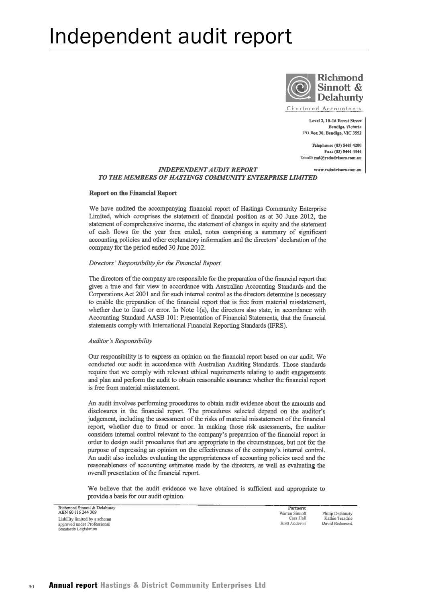## Independent audit report



Chartered Accountants

Level 2, 10-16 Forest Street Bendigo, Victoria PO Box 30, Bendigo, VIC 3552

Telephone: (03) 5445 4200 Fax: (03) 5444 4344 Email: rsd@rsdadvisors.com.au

#### **INDEPENDENT AUDIT REPORT** www.rsdadvisors.com.au TO THE MEMBERS OF HASTINGS COMMUNITY ENTERPRISE LIMITED

#### **Report on the Financial Report**

We have audited the accompanying financial report of Hastings Community Enterprise Limited, which comprises the statement of financial position as at 30 June 2012, the statement of comprehensive income, the statement of changes in equity and the statement of cash flows for the year then ended, notes comprising a summary of significant accounting policies and other explanatory information and the directors' declaration of the company for the period ended 30 June 2012.

#### Directors' Responsibility for the Financial Report

The directors of the company are responsible for the preparation of the financial report that gives a true and fair view in accordance with Australian Accounting Standards and the Corporations Act 2001 and for such internal control as the directors determine is necessary to enable the preparation of the financial report that is free from material misstatement, whether due to fraud or error. In Note  $1(a)$ , the directors also state, in accordance with Accounting Standard AASB 101: Presentation of Financial Statements, that the financial statements comply with International Financial Reporting Standards (IFRS).

#### **Auditor's Responsibility**

Our responsibility is to express an opinion on the financial report based on our audit. We conducted our audit in accordance with Australian Auditing Standards. Those standards require that we comply with relevant ethical requirements relating to audit engagements and plan and perform the audit to obtain reasonable assurance whether the financial report is free from material misstatement.

An audit involves performing procedures to obtain audit evidence about the amounts and disclosures in the financial report. The procedures selected depend on the auditor's judgement, including the assessment of the risks of material misstatement of the financial report, whether due to fraud or error. In making those risk assessments, the auditor considers internal control relevant to the company's preparation of the financial report in order to design audit procedures that are appropriate in the circumstances, but not for the purpose of expressing an opinion on the effectiveness of the company's internal control. An audit also includes evaluating the appropriateness of accounting policies used and the reasonableness of accounting estimates made by the directors, as well as evaluating the overall presentation of the financial report.

We believe that the audit evidence we have obtained is sufficient and appropriate to provide a basis for our audit opinion.

Richmond Sinnott & Delahunty<br>ABN 60 616 244 309 Liability limited by a scheme approved under Professional Standards Legislation

Partners: Warren Sinnott Philip Delahunty Cara Hall Kathie Teasdale **Brett Andrews** David Richmond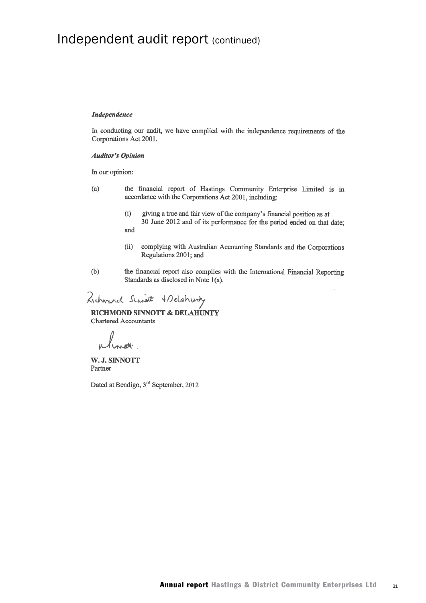#### Independence

In conducting our audit, we have complied with the independence requirements of the Corporations Act 2001.

#### **Auditor's Opinion**

In our opinion:

- $(a)$ the financial report of Hastings Community Enterprise Limited is in accordance with the Corporations Act 2001, including:
	- $(i)$ giving a true and fair view of the company's financial position as at 30 June 2012 and of its performance for the period ended on that date; and
	- complying with Australian Accounting Standards and the Corporations  $(ii)$ Regulations 2001; and
- $(b)$ the financial report also complies with the International Financial Reporting Standards as disclosed in Note 1(a).

Richmond Sincett & Selahung

RICHMOND SINNOTT & DELAHUNTY **Chartered Accountants** 

W. J. SINNOTT Partner

Dated at Bendigo, 3<sup>rd</sup> September, 2012